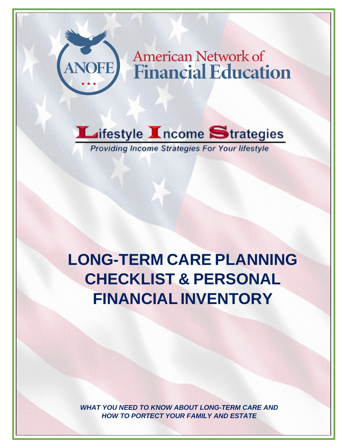



**Providing Income Strategies For Your lifestyle** 

**LONG-TERM CARE PLANNING CHECKLIST & PERSONAL FINANCIAL INVENTORY**

*WHAT YOU NEED TO KNOW ABOUT LONG-TERM CARE AND HOW TO PORTECT YOUR FAMILY AND ESTATE*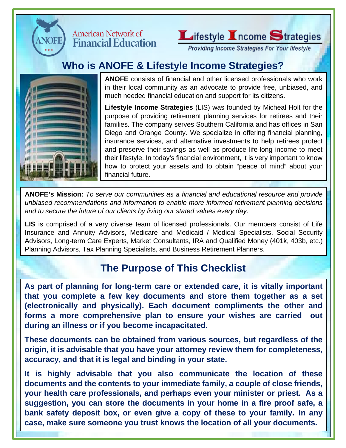

#### **American Network of Financial Education**



Providing Income Strategies For Your lifestyle

# **Who is ANOFE & Lifestyle Income Strategies?**



**ANOFE** consists of financial and other licensed professionals who work in their local community as an advocate to provide free, unbiased, and much needed financial education and support for its citizens.

**Lifestyle Income Strategies** (LIS) was founded by Micheal Holt for the purpose of providing retirement planning services for retirees and their families. The company serves Southern California and has offices in San Diego and Orange County. We specialize in offering financial planning, insurance services, and alternative investments to help retirees protect and preserve their savings as well as produce life-long income to meet their lifestyle. In today's financial environment, it is very important to know how to protect your assets and to obtain "peace of mind" about your financial future.

**ANOFE's Mission:** *To serve our communities as a financial and educational resource and provide unbiased recommendations and information to enable more informed retirement planning decisions and to secure the future of our clients by living our stated values every day.*

**LIS** is comprised of a very diverse team of licensed professionals. Our members consist of Life Insurance and Annuity Advisors, Medicare and Medicaid / Medical Specialists, Social Security Advisors, Long-term Care Experts, Market Consultants, IRA and Qualified Money (401k, 403b, etc.) Planning Advisors, Tax Planning Specialists, and Business Retirement Planners.

# **The Purpose of This Checklist**

**As part of planning for long-term care or extended care, it is vitally important that you complete a few key documents and store them together as a set (electronically and physically). Each document compliments the other and forms a more comprehensive plan to ensure your wishes are carried out during an illness or if you become incapacitated.**

**These documents can be obtained from various sources, but regardless of the origin, it is advisable that you have your attorney review them for completeness, accuracy, and that it is legal and binding in your state.**

**It is highly advisable that you also communicate the location of these documents and the contents to your immediate family, a couple of close friends, your health care professionals, and perhaps even your minister or priest. As a suggestion, you can store the documents in your home in a fire proof safe, a bank safety deposit box, or even give a copy of these to your family. In any case, make sure someone you trust knows the location of all your documents.**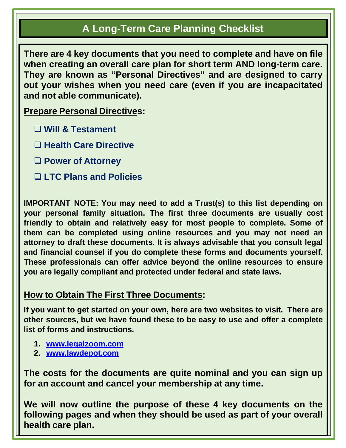## **A Long-Term Care Planning Checklist**

**There are 4 key documents that you need to complete and have on file when creating an overall care plan for short term AND long-term care. They are known as "Personal Directives" and are designed to carry out your wishes when you need care (even if you are incapacitated and not able communicate).**

**Prepare Personal Directives:**

- **Will & Testament**
- **Health Care Directive**
- **Power of Attorney**
- **LTC Plans and Policies**

**IMPORTANT NOTE: You may need to add a Trust(s) to this list depending on your personal family situation. The first three documents are usually cost friendly to obtain and relatively easy for most people to complete. Some of them can be completed using online resources and you may not need an attorney to draft these documents. It is always advisable that you consult legal and financial counsel if you do complete these forms and documents yourself. These professionals can offer advice beyond the online resources to ensure you are legally compliant and protected under federal and state laws.**

#### **How to Obtain The First Three Documents:**

**If you want to get started on your own, here are two websites to visit. There are other sources, but we have found these to be easy to use and offer a complete list of forms and instructions.**

- **1. [www.legalzoom.com](http://www.legalzoom.com/)**
- **2. [www.lawdepot.com](http://www.lawdepot.com/)**

**The costs for the documents are quite nominal and you can sign up for an account and cancel your membership at any time.**

**We will now outline the purpose of these 4 key documents on the following pages and when they should be used as part of your overall health care plan.**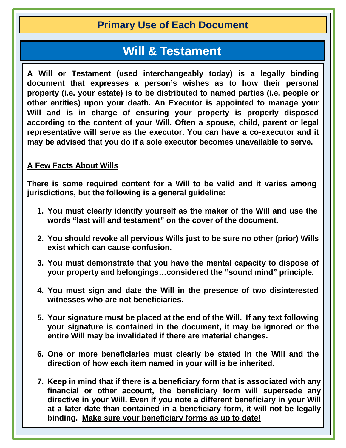### **Primary Use of Each Document**

# **Will & Testament**

**A Will or Testament (used interchangeably today) is a legally binding document that expresses a person's wishes as to how their personal property (i.e. your estate) is to be distributed to named parties (i.e. people or other entities) upon your death. An Executor is appointed to manage your Will and is in charge of ensuring your property is properly disposed according to the content of your Will. Often a spouse, child, parent or legal representative will serve as the executor. You can have a co-executor and it may be advised that you do if a sole executor becomes unavailable to serve.**

#### **A Few Facts About Wills**

**There is some required content for a Will to be valid and it varies among jurisdictions, but the following is a general guideline:**

- **1. You must clearly identify yourself as the maker of the Will and use the words "last will and testament" on the cover of the document.**
- **2. You should revoke all pervious Wills just to be sure no other (prior) Wills exist which can cause confusion.**
- **3. You must demonstrate that you have the mental capacity to dispose of your property and belongings…considered the "sound mind" principle.**
- **4. You must sign and date the Will in the presence of two disinterested witnesses who are not beneficiaries.**
- **5. Your signature must be placed at the end of the Will. If any text following your signature is contained in the document, it may be ignored or the entire Will may be invalidated if there are material changes.**
- **6. One or more beneficiaries must clearly be stated in the Will and the direction of how each item named in your will is be inherited.**
- **7. Keep in mind that if there is a beneficiary form that is associated with any financial or other account, the beneficiary form will supersede any directive in your Will. Even if you note a different beneficiary in your Will at a later date than contained in a beneficiary form, it will not be legally binding. Make sure your beneficiary forms as up to date!**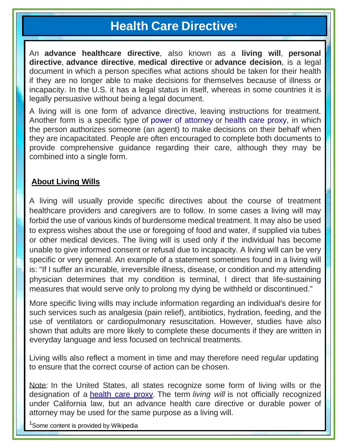# **Health Care Directive1**

An **advance healthcare directive**, also known as a **living will**, **personal directive**, **advance directive**, **medical directive** or **advance decision**, is a legal document in which a person specifies what actions should be taken for their health if they are no longer able to make decisions for themselves because of illness or incapacity. In the U.S. it has a legal status in itself, whereas in some countries it is legally persuasive without being a legal document.

A living will is one form of advance directive, leaving instructions for treatment. Another form is a specific type of power of [attorney](https://en.wikipedia.org/wiki/Power_of_attorney) or [health](https://en.wikipedia.org/wiki/Health_care_proxy) care proxy, in which the person authorizes someone (an agent) to make decisions on their behalf when they are incapacitated. People are often encouraged to complete both documents to provide comprehensive guidance regarding their care, although they may be combined into a single form.

#### **About Living Wills**

A living will usually provide specific directives about the course of treatment healthcare providers and caregivers are to follow. In some cases a living will may forbid the use of various kinds of burdensome medical treatment. It may also be used to express wishes about the use or foregoing of food and water, if supplied via tubes or other medical devices. The living will is used only if the individual has become unable to give informed consent or refusal due to incapacity. A living will can be very specific or very general. An example of a statement sometimes found in a living will is: "If I suffer an incurable, irreversible illness, disease, or condition and my attending physician determines that my condition is terminal, I direct that life-sustaining measures that would serve only to prolong my dying be withheld or discontinued."

More specific living wills may include information regarding an individual's desire for such services such as analgesia (pain relief), antibiotics, hydration, feeding, and the use of ventilators or cardiopulmonary resuscitation. However, studies have also shown that adults are more likely to complete these documents if they are written in everyday language and less focused on technical treatments.

Living wills also reflect a moment in time and may therefore need regular updating to ensure that the correct course of action can be chosen.

Note: In the United States, all states recognize some form of living wills or the designation of a [health](https://en.wikipedia.org/wiki/Health_care_proxy) care proxy. The term *living will* is not officially recognized under California law, but an advance health care directive or durable power of attorney may be used for the same purpose as a living will.

<sup>1</sup>Some content is provided by Wikipedia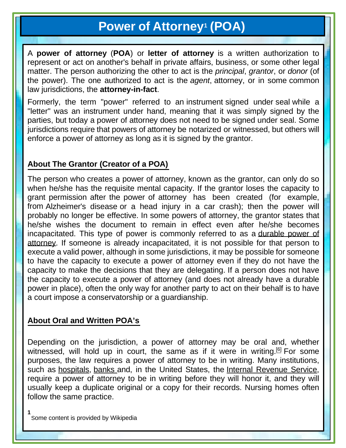# **Power of Attorney1 (POA)**

A **power of attorney** (**POA**) or **letter of attorney** is a written authorization to represent or act on another's behalf in private affairs, business, or some other legal matter. The person authorizing the other to act is the *principal*, *grantor*, or *donor* (of the power). The one authorized to act is the *[agent](https://en.wikipedia.org/wiki/Agency_(law))*, attorney, or in some [common](https://en.wikipedia.org/wiki/Common_law) [law](https://en.wikipedia.org/wiki/Common_law) jurisdictions, the **attorney-in-fact**.

Formerly, the term "power" referred to an [instrument](https://en.wikipedia.org/wiki/Legal_instrument) signed under [seal](https://en.wikipedia.org/wiki/Seal_(contract_law)) while a "letter" was an instrument under hand, meaning that it was simply signed by the parties, but today a power of attorney does not need to be signed under seal. Some jurisdictions require that powers of attorney be [notarized](https://en.wikipedia.org/wiki/Notary) or [witnessed,](https://en.wikipedia.org/wiki/Witness) but others will enforce a power of attorney as long as it is signed by the grantor.

#### **About The Grantor (Creator of a POA)**

The person who creates a power of attorney, known as the grantor, can only do so when he/she has the requisite mental capacity. If the grantor loses the capacity to grant permission after the power of attorney has been created (for example, from [Alzheimer's](https://en.wikipedia.org/wiki/Alzheimer%27s_disease) disease or a head injury in a car crash); then the power will probably no longer be effective. In some powers of attorney, the grantor states that he/she wishes the document to remain in effect even after he/she becomes incapacitated. This type of power is commonly referred to as a [durable](https://en.wikipedia.org/wiki/Power_of_attorney#Durable_power_of_attorney) power of [attorney.](https://en.wikipedia.org/wiki/Power_of_attorney#Durable_power_of_attorney) If someone is already incapacitated, it is not possible for that person to execute a valid power, although in some jurisdictions, it may be possible for someone to have the capacity to execute a power of attorney even if they do not have the capacity to make the decisions that they are delegating. If a person does not have the capacity to execute a power of attorney (and does not already have a durable power in place), often the only way for another party to act on their behalf is to have a court impose a [conservatorship](https://en.wikipedia.org/wiki/Conservatorship) or a [guardianship.](https://en.wikipedia.org/wiki/Guardianship)

#### **About Oral and Written POA's**

Depending on the jurisdiction, a power of attorney may be oral and, whether witnessed, will hold up in court, the same as if it were in writing.  $[6]$  For some purposes, the law requires a power of attorney to be in writing. Many institutions, such as [hospitals,](https://en.wikipedia.org/wiki/Hospital) [banks](https://en.wikipedia.org/wiki/Bank) and, in the United States, the Internal [Revenue](https://en.wikipedia.org/wiki/Internal_Revenue_Service) Service, require a power of attorney to be in writing before they will honor it, and they will usually keep a duplicate original or a copy for their records. Nursing homes often follow the same practice.

**1** Some content is provided by Wikipedia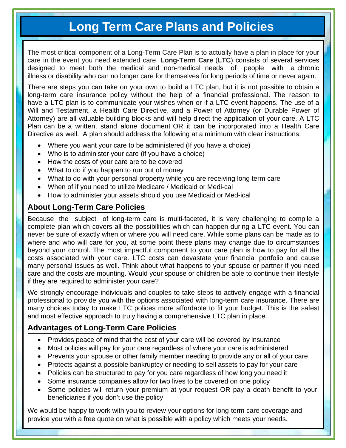# **Long Term Care Plans and Policies**

The most critical component of a Long-Term Care Plan is to actually have a plan in place for your care in the event you need extended care. **Long-Term Care** (**LTC**) consists of several services designed to meet both the medical and non-medical needs of people with a [chronic](https://en.wikipedia.org/wiki/Chronic_illness) [illness](https://en.wikipedia.org/wiki/Chronic_illness) or [disability](https://en.wikipedia.org/wiki/Disability) who can no longer care for themselves for long periods of time or never again.

There are steps you can take on your own to build a LTC plan, but it is not possible to obtain a long-term care insurance policy without the help of a financial professional. The reason to have a LTC plan is to communicate your wishes when or if a LTC event happens. The use of a Will and Testament, a Health Care Directive, and a Power of Attorney (or Durable Power of Attorney) are all valuable building blocks and will help direct the application of your care. A LTC Plan can be a written, stand alone document OR it can be incorporated into a Health Care Directive as well. A plan should address the following at a minimum with clear instructions:

- Where you want your care to be administered (If you have a choice)
- Who is to administer your care (if you have a choice)
- How the costs of your care are to be covered
- What to do if you happen to run out of money
- What to do with your personal property while you are receiving long term care
- When of if you need to utilize Medicare / Medicaid or Medi-cal
- How to administer your assets should you use Medicaid or Med-ical

#### **About Long-Term Care Policies**

Because the subject of long-term care is multi-faceted, it is very challenging to compile a complete plan which covers all the possibilities which can happen during a LTC event. You can never be sure of exactly when or where you will need care. While some plans can be made as to where and who will care for you, at some point these plans may change due to circumstances beyond your control. The most impactful component to your care plan is how to pay for all the costs associated with your care. LTC costs can devastate your financial portfolio and cause many personal issues as well. Think about what happens to your spouse or partner if you need care and the costs are mounting. Would your spouse or children be able to continue their lifestyle if they are required to administer your care?

We strongly encourage individuals and couples to take steps to actively engage with a financial professional to provide you with the options associated with long-term care insurance. There are many choices today to make LTC polices more affordable to fit your budget. This is the safest and most effective approach to truly having a comprehensive LTC plan in place.

#### **Advantages of Long-Term Care Policies**

- Provides peace of mind that the cost of your care will be covered by insurance
- Most policies will pay for your care regardless of where your care is administered
- Prevents your spouse or other family member needing to provide any or all of your care
- Protects against a possible bankruptcy or needing to sell assets to pay for your care
- Policies can be structured to pay for you care regardless of how long you need it
- Some insurance companies allow for two lives to be covered on one policy
- Some policies will return your premium at your request OR pay a death benefit to your beneficiaries if you don't use the policy

We would be happy to work with you to review your options for long-term care coverage and provide you with a free quote on what is possible with a policy which meets your needs.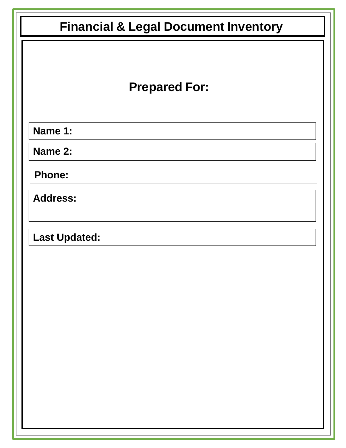| <b>Prepared For:</b> |
|----------------------|
| Name 1:              |
| Name 2:              |
| <b>Phone:</b>        |
| <b>Address:</b>      |
| <b>Last Updated:</b> |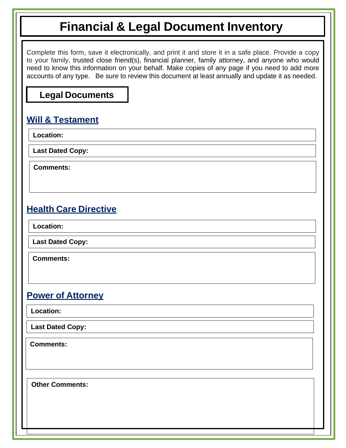Complete this form, save it electronically, and print it and store it in a safe place. Provide a copy to your family, trusted close friend(s), financial planner, family attorney, and anyone who would need to know this information on your behalf. Make copies of any page if you need to add more accounts of any type. Be sure to review this document at least annually and update it as needed.

#### **Legal Documents**

#### **Will & Testament**

**Location:**

**Last Dated Copy:**

**Comments:**

#### **Health Care Directive**

**Location:**

**Last Dated Copy:**

**Comments:**

#### **Power of Attorney**

**Location:**

**Last Dated Copy:**

**Comments:**

**Other Comments:**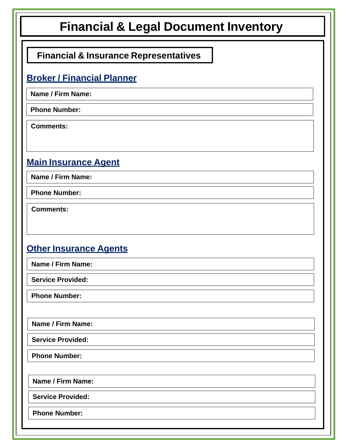# **Financial & Insurance Representatives**

### **Broker / Financial Planner**

**Name / Firm Name:**

**Phone Number:**

**Comments:**

### **Main Insurance Agent**

**Name / Firm Name:**

**Phone Number:**

**Comments:**

### **Other Insurance Agents**

**Phone Number: Service Provided: Name / Firm Name: Phone Number: Service Provided: Name / Firm Name: Phone Number: Service Provided: Name / Firm Name:**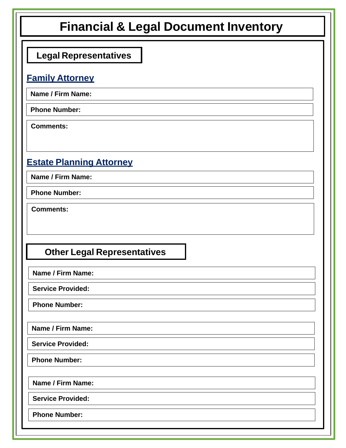| <b>Financial &amp; Legal Document Inventory</b> |
|-------------------------------------------------|
| <b>Legal Representatives</b>                    |
| <b>Family Attorney</b>                          |
| Name / Firm Name:                               |
| <b>Phone Number:</b>                            |
| <b>Comments:</b>                                |
| <b>Estate Planning Attorney</b>                 |
| <b>Name / Firm Name:</b>                        |
| <b>Phone Number:</b>                            |
| <b>Comments:</b>                                |
| <b>Other Legal Representatives</b>              |
| Name / Firm Name:                               |
| <b>Service Provided:</b>                        |
| <b>Phone Number:</b>                            |
| Name / Firm Name:                               |
| <b>Service Provided:</b>                        |
| <b>Phone Number:</b>                            |
| Name / Firm Name:                               |
| <b>Service Provided:</b>                        |
| <b>Phone Number:</b>                            |
|                                                 |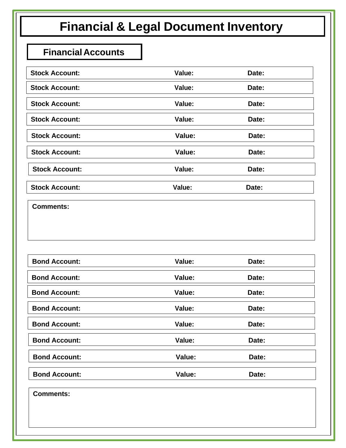### **FinancialAccounts**

| <b>Stock Account:</b> | Value: | Date: |
|-----------------------|--------|-------|
| <b>Stock Account:</b> | Value: | Date: |
| <b>Stock Account:</b> | Value: | Date: |
| <b>Stock Account:</b> | Value: | Date: |
| <b>Stock Account:</b> | Value: | Date: |
| <b>Stock Account:</b> | Value: | Date: |
| <b>Stock Account:</b> | Value: | Date: |
| <b>Stock Account:</b> | Value: | Date: |

**Comments:**

| <b>Bond Account:</b> | Value: | Date: |
|----------------------|--------|-------|
| <b>Bond Account:</b> | Value: | Date: |
| <b>Bond Account:</b> | Value: | Date: |
| <b>Bond Account:</b> | Value: | Date: |
| <b>Bond Account:</b> | Value: | Date: |
| <b>Bond Account:</b> | Value: | Date: |
| <b>Bond Account:</b> | Value: | Date: |
| <b>Bond Account:</b> | Value: | Date: |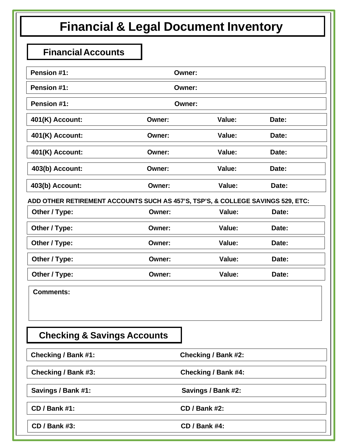### **FinancialAccounts**

| Pension #1:                                                                     |               | Owner:                     |       |
|---------------------------------------------------------------------------------|---------------|----------------------------|-------|
| Pension #1:                                                                     |               | Owner:                     |       |
| Pension #1:                                                                     |               | <b>Owner:</b>              |       |
| 401(K) Account:                                                                 | Owner:        | Value:                     | Date: |
| 401(K) Account:                                                                 | Owner:        | Value:                     | Date: |
| 401(K) Account:                                                                 | Owner:        | Value:                     | Date: |
| 403(b) Account:                                                                 | <b>Owner:</b> | Value:                     | Date: |
| 403(b) Account:                                                                 | <b>Owner:</b> | Value:                     | Date: |
| ADD OTHER RETIREMENT ACCOUNTS SUCH AS 457'S, TSP'S, & COLLEGE SAVINGS 529, ETC: |               |                            |       |
| Other / Type:                                                                   | Owner:        | Value:                     | Date: |
| Other / Type:                                                                   | <b>Owner:</b> | Value:                     | Date: |
| Other / Type:                                                                   | Owner:        | Value:                     | Date: |
| Other / Type:                                                                   | Owner:        | Value:                     | Date: |
| Other / Type:                                                                   | Owner:        | Value:                     | Date: |
| <b>Comments:</b>                                                                |               |                            |       |
|                                                                                 |               |                            |       |
|                                                                                 |               |                            |       |
| <b>Checking &amp; Savings Accounts</b>                                          |               |                            |       |
| <b>Checking / Bank #1:</b>                                                      |               | <b>Checking / Bank #2:</b> |       |
| Checking / Bank #3:                                                             |               | <b>Checking / Bank #4:</b> |       |
| Savings / Bank #1:                                                              |               | Savings / Bank #2:         |       |
| <b>CD / Bank #1:</b>                                                            |               | <b>CD / Bank #2:</b>       |       |
| <b>CD / Bank #3:</b>                                                            |               | <b>CD / Bank #4:</b>       |       |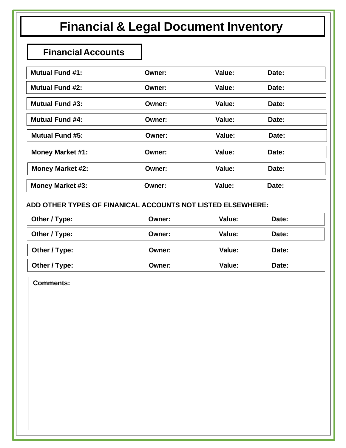#### **FinancialAccounts**

| <b>Mutual Fund #1:</b>  | Owner: | Value: | Date: |  |
|-------------------------|--------|--------|-------|--|
| <b>Mutual Fund #2:</b>  | Owner: | Value: | Date: |  |
| <b>Mutual Fund #3:</b>  | Owner: | Value: | Date: |  |
| <b>Mutual Fund #4:</b>  | Owner: | Value: | Date: |  |
| <b>Mutual Fund #5:</b>  | Owner: | Value: | Date: |  |
| <b>Money Market #1:</b> | Owner: | Value: | Date: |  |
| <b>Money Market #2:</b> | Owner: | Value: | Date: |  |
| Money Market #3:        | Owner: | Value: | Date: |  |

#### **ADD OTHER TYPES OF FINANICAL ACCOUNTS NOT LISTED ELSEWHERE:**

| Other / Type: | <b>Owner:</b> | Value: | Date: |
|---------------|---------------|--------|-------|
| Other / Type: | Owner:        | Value: | Date: |
| Other / Type: | <b>Owner:</b> | Value: | Date: |
| Other / Type: | Owner:        | Value: | Date: |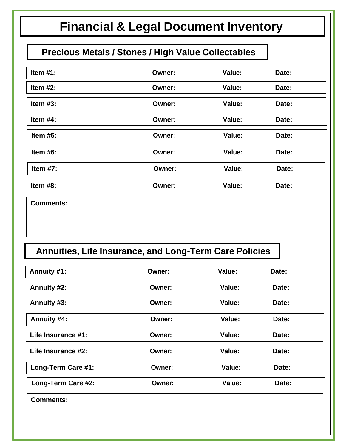# **Precious Metals / Stones / High Value Collectables**

| Item $#1$ : | Owner:        | Value: | Date: |
|-------------|---------------|--------|-------|
| Item $#2$ : | Owner:        | Value: | Date: |
| Item $#3$ : | <b>Owner:</b> | Value: | Date: |
| Item $#4$ : | Owner:        | Value: | Date: |
| Item $#5$ : | Owner:        | Value: | Date: |
| Item $#6$ : | Owner:        | Value: | Date: |
| Item $#7$ : | <b>Owner:</b> | Value: | Date: |
| Item $#8$ : | <b>Owner:</b> | Value: | Date: |

**Comments:**

# **Annuities, Life Insurance, and Long-Term Care Policies**

| Annuity #1:        | Owner: | Value: | Date: |  |
|--------------------|--------|--------|-------|--|
| Annuity #2:        | Owner: | Value: | Date: |  |
| Annuity #3:        | Owner: | Value: | Date: |  |
| Annuity #4:        | Owner: | Value: | Date: |  |
| Life Insurance #1: | Owner: | Value: | Date: |  |
| Life Insurance #2: | Owner: | Value: | Date: |  |
| Long-Term Care #1: | Owner: | Value: | Date: |  |
| Long-Term Care #2: | Owner: | Value: | Date: |  |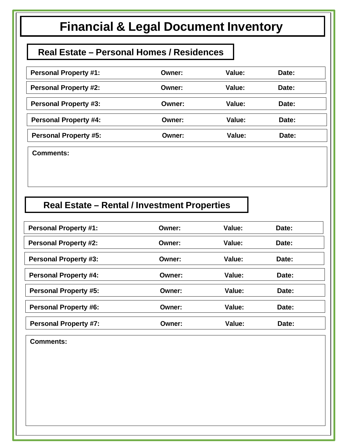#### **Real Estate – Personal Homes / Residences**

| <b>Personal Property #1:</b> | Owner:        | Value:        | Date: |
|------------------------------|---------------|---------------|-------|
| <b>Personal Property #2:</b> | <b>Owner:</b> | <b>Value:</b> | Date: |
| <b>Personal Property #3:</b> | <b>Owner:</b> | Value:        | Date: |
| <b>Personal Property #4:</b> | Owner:        | Value:        | Date: |
| <b>Personal Property #5:</b> | Owner:        | Value:        | Date: |

**Comments:**

### **Real Estate – Rental / Investment Properties**

| <b>Personal Property #1:</b> | Owner: | Value: | Date: |
|------------------------------|--------|--------|-------|
| <b>Personal Property #2:</b> | Owner: | Value: | Date: |
| <b>Personal Property #3:</b> | Owner: | Value: | Date: |
| <b>Personal Property #4:</b> | Owner: | Value: | Date: |
| <b>Personal Property #5:</b> | Owner: | Value: | Date: |
| <b>Personal Property #6:</b> | Owner: | Value: | Date: |
| <b>Personal Property #7:</b> | Owner: | Value: | Date: |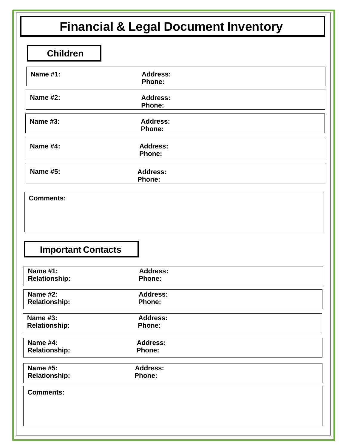|                                                                      | <b>Financial &amp; Legal Document Inventory</b> |  |
|----------------------------------------------------------------------|-------------------------------------------------|--|
| <b>Children</b>                                                      |                                                 |  |
| <b>Name #1:</b>                                                      | <b>Address:</b><br><b>Phone:</b>                |  |
| <b>Name #2:</b>                                                      | <b>Address:</b><br>Phone:                       |  |
| <b>Name #3:</b>                                                      | <b>Address:</b><br>Phone:                       |  |
| <b>Name #4:</b>                                                      | <b>Address:</b><br><b>Phone:</b>                |  |
| <b>Name #5:</b>                                                      | <b>Address:</b><br><b>Phone:</b>                |  |
| <b>Important Contacts</b><br><b>Name #1:</b><br><b>Relationship:</b> | <b>Address:</b><br><b>Phone:</b>                |  |
| <b>Name #2:</b><br><b>Relationship:</b>                              | <b>Address:</b><br><b>Phone:</b>                |  |
| <b>Name #3:</b><br><b>Relationship:</b>                              | <b>Address:</b><br><b>Phone:</b>                |  |
| <b>Name #4:</b><br><b>Relationship:</b>                              | <b>Address:</b><br><b>Phone:</b>                |  |
| <b>Name #5:</b><br><b>Relationship:</b>                              | <b>Address:</b><br><b>Phone:</b>                |  |
|                                                                      |                                                 |  |